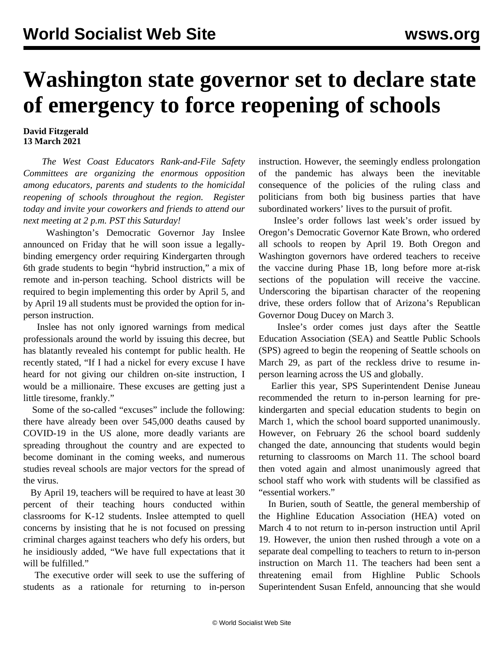## **Washington state governor set to declare state of emergency to force reopening of schools**

## **David Fitzgerald 13 March 2021**

 *The West Coast Educators Rank-and-File Safety Committees are organizing the enormous opposition among educators, parents and students to the homicidal reopening of schools throughout the region. [Register](https://register.gotowebinar.com/register/8268718181054946062) [today and invite your coworkers and friends to attend our](https://register.gotowebinar.com/register/8268718181054946062) [next meeting at 2 p.m. PST this Saturday!](https://register.gotowebinar.com/register/8268718181054946062)*

 Washington's Democratic Governor Jay Inslee announced on Friday that he will soon issue a legallybinding emergency order requiring Kindergarten through 6th grade students to begin "hybrid instruction," a mix of remote and in-person teaching. School districts will be required to begin implementing this order by April 5, and by April 19 all students must be provided the option for inperson instruction.

 Inslee has not only ignored warnings from medical professionals around the world by issuing this decree, but has blatantly revealed his contempt for public health. He recently stated, "If I had a nickel for every excuse I have heard for not giving our children on-site instruction, I would be a millionaire. These excuses are getting just a little tiresome, frankly."

 Some of the so-called "excuses" include the following: there have already been over 545,000 deaths caused by COVID-19 in the US alone, more deadly variants are spreading throughout the country and are expected to become dominant in the coming weeks, and numerous studies reveal schools are major vectors for the spread of the virus.

 By April 19, teachers will be required to have at least 30 percent of their teaching hours conducted within classrooms for K-12 students. Inslee attempted to quell concerns by insisting that he is not focused on pressing criminal charges against teachers who defy his orders, but he insidiously added, "We have full expectations that it will be fulfilled."

 The executive order will seek to use the suffering of students as a rationale for returning to in-person instruction. However, the seemingly endless prolongation of the pandemic has always been the inevitable consequence of the policies of the ruling class and politicians from both big business parties that have subordinated workers' lives to the pursuit of profit.

 Inslee's order follows [last week's order issued by](/en/articles/2021/03/09/oreg-m09.html) [Oregon's Democratic Governor Kate Brown,](/en/articles/2021/03/09/oreg-m09.html) who ordered all schools to reopen by April 19. Both Oregon and Washington governors have ordered teachers to receive the vaccine during Phase 1B, long before more at-risk sections of the population will receive the vaccine. Underscoring the bipartisan character of the reopening drive, these orders follow that of [Arizona's Republican](/en/articles/2021/03/12/ariz-m12.html) [Governor Doug Ducey](/en/articles/2021/03/12/ariz-m12.html) on March 3.

 Inslee's order comes just days after the Seattle Education Association (SEA) and Seattle Public Schools (SPS) agreed to begin the reopening of Seattle schools on March 29, as part of the reckless drive to resume inperson learning across the US and globally.

 Earlier this year, SPS Superintendent Denise Juneau recommended the return to in-person learning for prekindergarten and special education students to begin on March 1, which the school board supported unanimously. However, on February 26 the school board suddenly changed the date, announcing that students would begin returning to classrooms on March 11. The school board then voted again and almost unanimously agreed that school staff who work with students will be classified as "essential workers."

 In Burien, south of Seattle, the general membership of the Highline Education Association (HEA) voted on March 4 to not return to in-person instruction until April 19. However, the union then rushed through a vote on a separate deal compelling to teachers to return to in-person instruction on March 11. The teachers had been sent a threatening email from Highline Public Schools Superintendent Susan Enfeld, announcing that she would